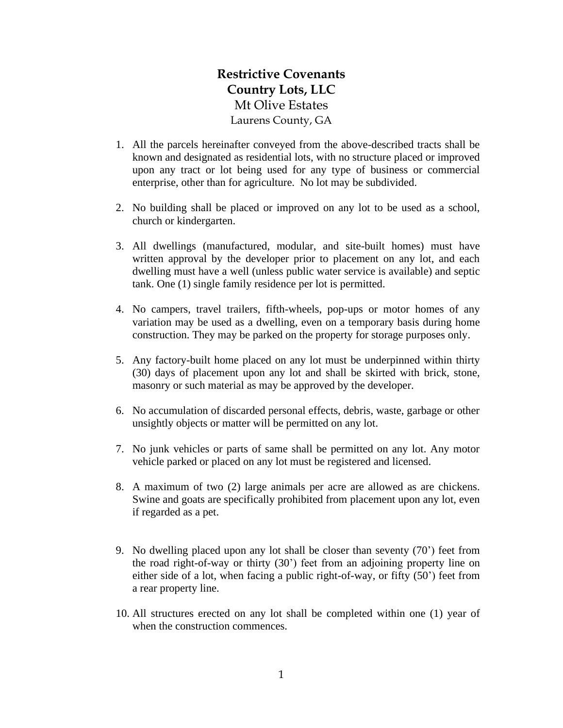## **Restrictive Covenants Country Lots, LLC** Mt Olive Estates Laurens County, GA

- 1. All the parcels hereinafter conveyed from the above-described tracts shall be known and designated as residential lots, with no structure placed or improved upon any tract or lot being used for any type of business or commercial enterprise, other than for agriculture. No lot may be subdivided.
- 2. No building shall be placed or improved on any lot to be used as a school, church or kindergarten.
- 3. All dwellings (manufactured, modular, and site-built homes) must have written approval by the developer prior to placement on any lot, and each dwelling must have a well (unless public water service is available) and septic tank. One (1) single family residence per lot is permitted.
- 4. No campers, travel trailers, fifth-wheels, pop-ups or motor homes of any variation may be used as a dwelling, even on a temporary basis during home construction. They may be parked on the property for storage purposes only.
- 5. Any factory-built home placed on any lot must be underpinned within thirty (30) days of placement upon any lot and shall be skirted with brick, stone, masonry or such material as may be approved by the developer.
- 6. No accumulation of discarded personal effects, debris, waste, garbage or other unsightly objects or matter will be permitted on any lot.
- 7. No junk vehicles or parts of same shall be permitted on any lot. Any motor vehicle parked or placed on any lot must be registered and licensed.
- 8. A maximum of two (2) large animals per acre are allowed as are chickens. Swine and goats are specifically prohibited from placement upon any lot, even if regarded as a pet.
- 9. No dwelling placed upon any lot shall be closer than seventy (70') feet from the road right-of-way or thirty (30') feet from an adjoining property line on either side of a lot, when facing a public right-of-way, or fifty (50') feet from a rear property line.
- 10. All structures erected on any lot shall be completed within one (1) year of when the construction commences.